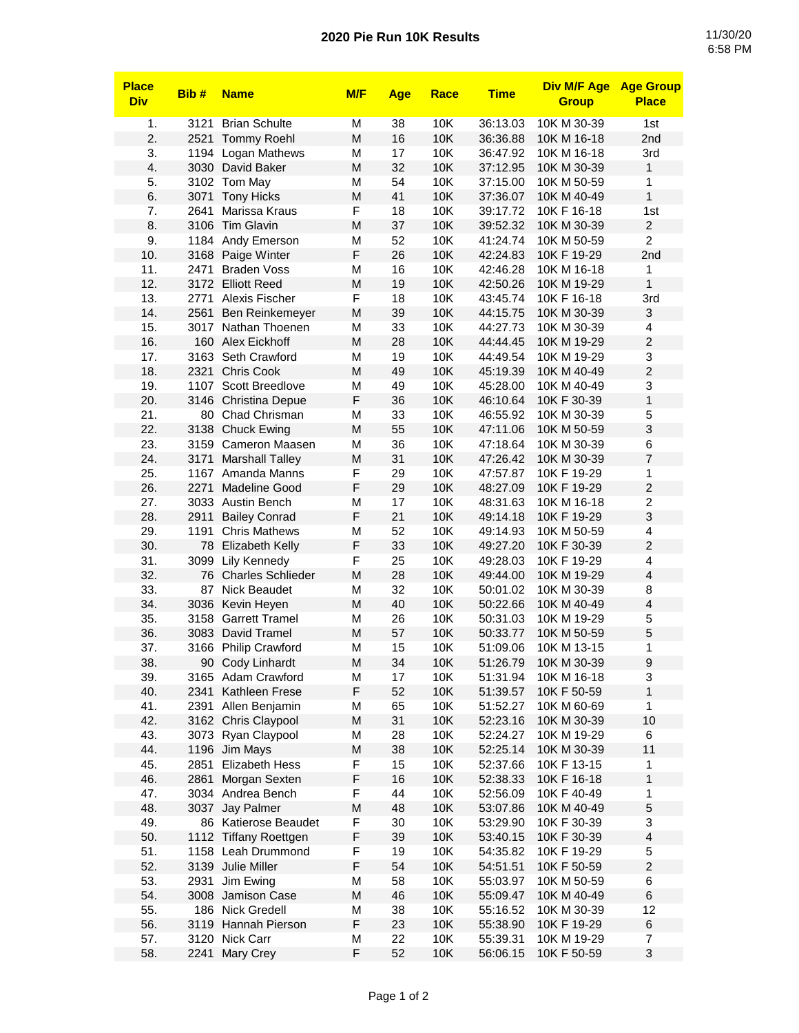## **2020 Pie Run 10K Results** 11/30/20

| <b>Place</b><br><b>Div</b> | Bib# | <b>Name</b>              | M/F | <b>Age</b> | Race       | <b>Time</b> | <b>Div M/F Age</b><br><b>Group</b> | <b>Age Group</b><br><b>Place</b> |
|----------------------------|------|--------------------------|-----|------------|------------|-------------|------------------------------------|----------------------------------|
|                            | 3121 | <b>Brian Schulte</b>     |     |            | 10K        |             |                                    |                                  |
| 1.<br>2.                   |      |                          | М   | 38         |            | 36:13.03    | 10K M 30-39                        | 1st                              |
|                            | 2521 | <b>Tommy Roehl</b>       | M   | 16         | 10K        | 36:36.88    | 10K M 16-18                        | 2nd                              |
| 3.                         |      | 1194 Logan Mathews       | M   | 17         | 10K        | 36:47.92    | 10K M 16-18                        | 3rd                              |
| 4.                         |      | 3030 David Baker         | M   | 32         | 10K        | 37:12.95    | 10K M 30-39                        | 1                                |
| 5.                         |      | 3102 Tom May             | M   | 54         | 10K        | 37:15.00    | 10K M 50-59                        | 1                                |
| 6.                         | 3071 | <b>Tony Hicks</b>        | M   | 41         | 10K        | 37:36.07    | 10K M 40-49                        | $\mathbf{1}$                     |
| 7.                         | 2641 | Marissa Kraus            | F   | 18         | 10K        | 39:17.72    | 10K F 16-18                        | 1st                              |
| 8.                         | 3106 | <b>Tim Glavin</b>        | M   | 37         | 10K        | 39:52.32    | 10K M 30-39                        | $\overline{c}$                   |
| 9.                         |      | 1184 Andy Emerson        | M   | 52         | 10K        | 41:24.74    | 10K M 50-59                        | $\overline{2}$                   |
| 10.                        |      | 3168 Paige Winter        | F   | 26         | 10K        | 42:24.83    | 10K F 19-29                        | 2nd                              |
| 11.                        | 2471 | <b>Braden Voss</b>       | M   | 16         | 10K        | 42:46.28    | 10K M 16-18                        | 1                                |
| 12.                        |      | 3172 Elliott Reed        | M   | 19         | 10K        | 42:50.26    | 10K M 19-29                        | $\mathbf{1}$                     |
| 13.                        | 2771 | Alexis Fischer           | F   | 18         | 10K        | 43:45.74    | 10K F 16-18                        | 3rd                              |
| 14.                        | 2561 | Ben Reinkemeyer          | M   | 39         | 10K        | 44:15.75    | 10K M 30-39                        | 3                                |
| 15.                        |      | 3017 Nathan Thoenen      | M   | 33         | 10K        | 44:27.73    | 10K M 30-39                        | 4                                |
| 16.                        | 160  | Alex Eickhoff            | M   | 28         | 10K        | 44:44.45    | 10K M 19-29                        | $\overline{c}$                   |
| 17.                        | 3163 | Seth Crawford            | М   | 19         | 10K        | 44:49.54    | 10K M 19-29                        | 3                                |
| 18.                        | 2321 | <b>Chris Cook</b>        | M   | 49         | 10K        | 45:19.39    | 10K M 40-49                        | $\overline{c}$                   |
| 19.                        | 1107 | Scott Breedlove          | M   | 49         | 10K        | 45:28.00    | 10K M 40-49                        | 3                                |
| 20.                        |      | 3146 Christina Depue     | F   | 36         | 10K        | 46:10.64    | 10K F 30-39                        | $\mathbf{1}$                     |
| 21.                        |      | 80 Chad Chrisman         | M   | 33         | 10K        | 46:55.92    | 10K M 30-39                        | 5                                |
| 22.                        | 3138 | <b>Chuck Ewing</b>       | M   | 55         | 10K        | 47:11.06    | 10K M 50-59                        | $\ensuremath{\mathsf{3}}$        |
| 23.                        | 3159 | Cameron Maasen           | М   | 36         | 10K        | 47:18.64    | 10K M 30-39                        | 6                                |
| 24.                        | 3171 | <b>Marshall Talley</b>   | M   | 31         | 10K        | 47:26.42    | 10K M 30-39                        | $\overline{7}$                   |
| 25.                        | 1167 | Amanda Manns             | F   | 29         | 10K        | 47:57.87    | 10K F 19-29                        | 1                                |
| 26.                        | 2271 | <b>Madeline Good</b>     | F   | 29         | 10K        | 48:27.09    | 10K F 19-29                        | $\overline{c}$                   |
| 27.                        |      | 3033 Austin Bench        | M   | 17         | 10K        | 48:31.63    | 10K M 16-18                        | $\overline{c}$                   |
| 28.                        | 2911 | <b>Bailey Conrad</b>     | F   | 21         | 10K        | 49:14.18    | 10K F 19-29                        | 3                                |
| 29.                        | 1191 | <b>Chris Mathews</b>     | M   | 52         | 10K        | 49:14.93    | 10K M 50-59                        | 4                                |
| 30.                        |      | 78 Elizabeth Kelly       | F   | 33         | 10K        | 49:27.20    | 10K F 30-39                        | $\overline{c}$                   |
| 31.                        | 3099 | Lily Kennedy             | F   | 25         | 10K        | 49:28.03    | 10K F 19-29                        | 4                                |
| 32.                        | 76   | <b>Charles Schlieder</b> | M   | 28         | <b>10K</b> | 49:44.00    | 10K M 19-29                        | 4                                |
|                            | 87   | <b>Nick Beaudet</b>      | M   | 32         | 10K        |             |                                    | 8                                |
| 33.                        |      |                          |     | 40         |            | 50:01.02    | 10K M 30-39                        |                                  |
| 34.                        |      | 3036 Kevin Heyen         | M   |            | 10K        | 50:22.66    | 10K M 40-49                        | 4                                |
| 35.                        | 3158 | <b>Garrett Tramel</b>    | M   | 26         | 10K        | 50:31.03    | 10K M 19-29                        | 5                                |
| 36.                        |      | 3083 David Tramel        | M   | 57         | 10K        | 50:33.77    | 10K M 50-59                        | 5                                |
| 37.                        |      | 3166 Philip Crawford     | M   | 15         | 10K        | 51:09.06    | 10K M 13-15                        | 1                                |
| 38.                        |      | 90 Cody Linhardt         | M   | 34         | 10K        | 51:26.79    | 10K M 30-39                        | 9                                |
| 39.                        |      | 3165 Adam Crawford       | M   | 17         | 10K        | 51:31.94    | 10K M 16-18                        | 3                                |
| 40.                        |      | 2341 Kathleen Frese      | F   | 52         | 10K        | 51:39.57    | 10K F 50-59                        | 1                                |
| 41.                        |      | 2391 Allen Benjamin      | M   | 65         | 10K        | 51:52.27    | 10K M 60-69                        | 1                                |
| 42.                        |      | 3162 Chris Claypool      | M   | 31         | 10K        | 52:23.16    | 10K M 30-39                        | 10                               |
| 43.                        |      | 3073 Ryan Claypool       | M   | 28         | 10K        | 52:24.27    | 10K M 19-29                        | 6                                |
| 44.                        |      | 1196 Jim Mays            | M   | 38         | 10K        | 52:25.14    | 10K M 30-39                        | 11                               |
| 45.                        |      | 2851 Elizabeth Hess      | F   | 15         | 10K        | 52:37.66    | 10K F 13-15                        | 1                                |
| 46.                        | 2861 | Morgan Sexten            | F   | 16         | 10K        | 52:38.33    | 10K F 16-18                        | 1                                |
| 47.                        |      | 3034 Andrea Bench        | F   | 44         | 10K        | 52:56.09    | 10K F 40-49                        | 1                                |
| 48.                        |      | 3037 Jay Palmer          | M   | 48         | 10K        | 53:07.86    | 10K M 40-49                        | $\mathbf 5$                      |
| 49.                        |      | 86 Katierose Beaudet     | F   | 30         | 10K        | 53:29.90    | 10K F 30-39                        | 3                                |
| 50.                        |      | 1112 Tiffany Roettgen    | F   | 39         | 10K        | 53:40.15    | 10K F 30-39                        | $\overline{4}$                   |
| 51.                        |      | 1158 Leah Drummond       | F   | 19         | 10K        | 54:35.82    | 10K F 19-29                        | 5                                |
| 52.                        |      | 3139 Julie Miller        | F   | 54         | 10K        | 54:51.51    | 10K F 50-59                        | $\overline{c}$                   |
| 53.                        | 2931 | Jim Ewing                | M   | 58         | 10K        | 55:03.97    | 10K M 50-59                        | 6                                |
| 54.                        | 3008 | Jamison Case             | M   | 46         | 10K        | 55:09.47    | 10K M 40-49                        | $\,6$                            |
| 55.                        |      | 186 Nick Gredell         | M   | 38         | 10K        | 55:16.52    | 10K M 30-39                        | 12                               |
| 56.                        |      | 3119 Hannah Pierson      | F   | 23         | 10K        | 55:38.90    | 10K F 19-29                        | 6                                |
| 57.                        |      | 3120 Nick Carr           | M   | 22         | 10K        | 55:39.31    | 10K M 19-29                        | $\boldsymbol{7}$                 |
| 58.                        |      | 2241 Mary Crey           | F   | 52         | 10K        | 56:06.15    | 10K F 50-59                        | 3                                |